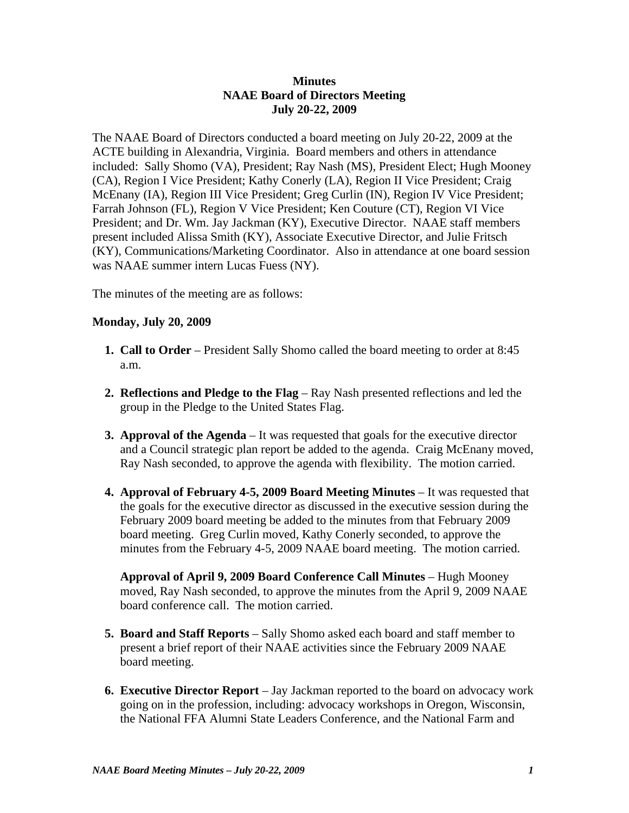## **Minutes NAAE Board of Directors Meeting July 20-22, 2009**

The NAAE Board of Directors conducted a board meeting on July 20-22, 2009 at the ACTE building in Alexandria, Virginia. Board members and others in attendance included: Sally Shomo (VA), President; Ray Nash (MS), President Elect; Hugh Mooney (CA), Region I Vice President; Kathy Conerly (LA), Region II Vice President; Craig McEnany (IA), Region III Vice President; Greg Curlin (IN), Region IV Vice President; Farrah Johnson (FL), Region V Vice President; Ken Couture (CT), Region VI Vice President; and Dr. Wm. Jay Jackman (KY), Executive Director. NAAE staff members present included Alissa Smith (KY), Associate Executive Director, and Julie Fritsch (KY), Communications/Marketing Coordinator. Also in attendance at one board session was NAAE summer intern Lucas Fuess (NY).

The minutes of the meeting are as follows:

## **Monday, July 20, 2009**

- **1. Call to Order** President Sally Shomo called the board meeting to order at 8:45 a.m.
- **2. Reflections and Pledge to the Flag** Ray Nash presented reflections and led the group in the Pledge to the United States Flag.
- **3. Approval of the Agenda** It was requested that goals for the executive director and a Council strategic plan report be added to the agenda. Craig McEnany moved, Ray Nash seconded, to approve the agenda with flexibility. The motion carried.
- **4. Approval of February 4-5, 2009 Board Meeting Minutes** It was requested that the goals for the executive director as discussed in the executive session during the February 2009 board meeting be added to the minutes from that February 2009 board meeting. Greg Curlin moved, Kathy Conerly seconded, to approve the minutes from the February 4-5, 2009 NAAE board meeting. The motion carried.

 **Approval of April 9, 2009 Board Conference Call Minutes** – Hugh Mooney moved, Ray Nash seconded, to approve the minutes from the April 9, 2009 NAAE board conference call. The motion carried.

- **5. Board and Staff Reports** Sally Shomo asked each board and staff member to present a brief report of their NAAE activities since the February 2009 NAAE board meeting.
- **6. Executive Director Report** Jay Jackman reported to the board on advocacy work going on in the profession, including: advocacy workshops in Oregon, Wisconsin, the National FFA Alumni State Leaders Conference, and the National Farm and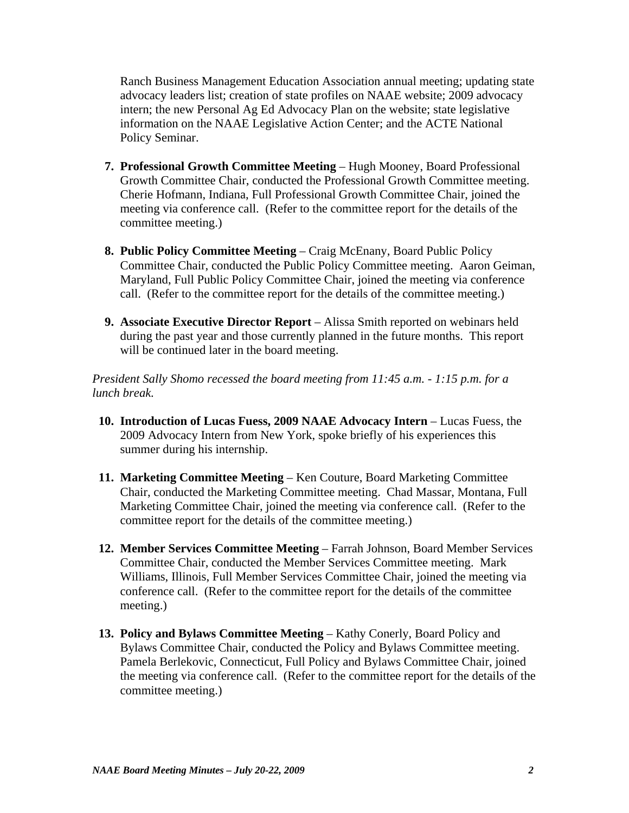Ranch Business Management Education Association annual meeting; updating state advocacy leaders list; creation of state profiles on NAAE website; 2009 advocacy intern; the new Personal Ag Ed Advocacy Plan on the website; state legislative information on the NAAE Legislative Action Center; and the ACTE National Policy Seminar.

- **7. Professional Growth Committee Meeting** Hugh Mooney, Board Professional Growth Committee Chair, conducted the Professional Growth Committee meeting. Cherie Hofmann, Indiana, Full Professional Growth Committee Chair, joined the meeting via conference call. (Refer to the committee report for the details of the committee meeting.)
- **8. Public Policy Committee Meeting** Craig McEnany, Board Public Policy Committee Chair, conducted the Public Policy Committee meeting. Aaron Geiman, Maryland, Full Public Policy Committee Chair, joined the meeting via conference call. (Refer to the committee report for the details of the committee meeting.)
- **9. Associate Executive Director Report** Alissa Smith reported on webinars held during the past year and those currently planned in the future months. This report will be continued later in the board meeting.

*President Sally Shomo recessed the board meeting from 11:45 a.m. - 1:15 p.m. for a lunch break.*

- **10. Introduction of Lucas Fuess, 2009 NAAE Advocacy Intern** Lucas Fuess, the 2009 Advocacy Intern from New York, spoke briefly of his experiences this summer during his internship.
- **11. Marketing Committee Meeting** Ken Couture, Board Marketing Committee Chair, conducted the Marketing Committee meeting. Chad Massar, Montana, Full Marketing Committee Chair, joined the meeting via conference call. (Refer to the committee report for the details of the committee meeting.)
- **12. Member Services Committee Meeting** Farrah Johnson, Board Member Services Committee Chair, conducted the Member Services Committee meeting. Mark Williams, Illinois, Full Member Services Committee Chair, joined the meeting via conference call. (Refer to the committee report for the details of the committee meeting.)
- **13. Policy and Bylaws Committee Meeting**  Kathy Conerly, Board Policy and Bylaws Committee Chair, conducted the Policy and Bylaws Committee meeting. Pamela Berlekovic, Connecticut, Full Policy and Bylaws Committee Chair, joined the meeting via conference call. (Refer to the committee report for the details of the committee meeting.)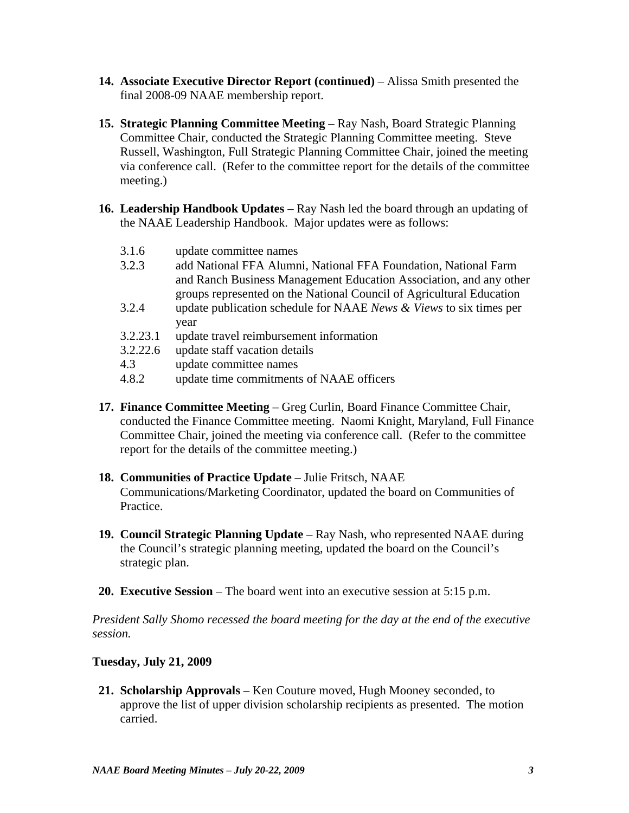- **14. Associate Executive Director Report (continued)** Alissa Smith presented the final 2008-09 NAAE membership report.
- **15. Strategic Planning Committee Meeting Ray Nash, Board Strategic Planning** Committee Chair, conducted the Strategic Planning Committee meeting. Steve Russell, Washington, Full Strategic Planning Committee Chair, joined the meeting via conference call. (Refer to the committee report for the details of the committee meeting.)
- **16. Leadership Handbook Updates** Ray Nash led the board through an updating of the NAAE Leadership Handbook. Major updates were as follows:
	- 3.1.6 update committee names
	- 3.2.3 add National FFA Alumni, National FFA Foundation, National Farm and Ranch Business Management Education Association, and any other groups represented on the National Council of Agricultural Education
	- 3.2.4 update publication schedule for NAAE *News & Views* to six times per year
	- 3.2.23.1 update travel reimbursement information
	- 3.2.22.6 update staff vacation details
	- 4.3 update committee names
	- 4.8.2 update time commitments of NAAE officers
- **17. Finance Committee Meeting**  Greg Curlin, Board Finance Committee Chair, conducted the Finance Committee meeting. Naomi Knight, Maryland, Full Finance Committee Chair, joined the meeting via conference call. (Refer to the committee report for the details of the committee meeting.)
- **18. Communities of Practice Update** Julie Fritsch, NAAE Communications/Marketing Coordinator, updated the board on Communities of Practice.
- **19. Council Strategic Planning Update** Ray Nash, who represented NAAE during the Council's strategic planning meeting, updated the board on the Council's strategic plan.
- **20. Executive Session** The board went into an executive session at 5:15 p.m.

*President Sally Shomo recessed the board meeting for the day at the end of the executive session.*

## **Tuesday, July 21, 2009**

**21. Scholarship Approvals** – Ken Couture moved, Hugh Mooney seconded, to approve the list of upper division scholarship recipients as presented. The motion carried.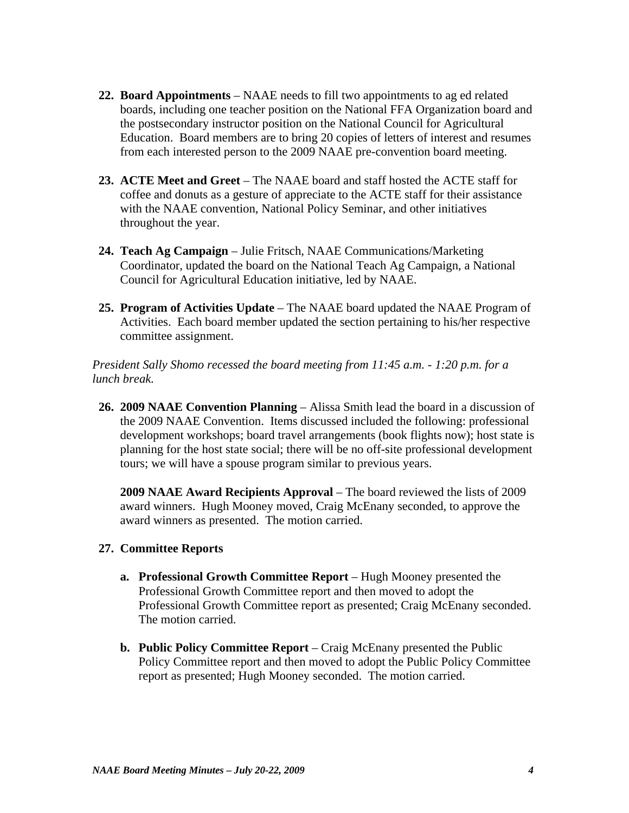- **22. Board Appointments** NAAE needs to fill two appointments to ag ed related boards, including one teacher position on the National FFA Organization board and the postsecondary instructor position on the National Council for Agricultural Education. Board members are to bring 20 copies of letters of interest and resumes from each interested person to the 2009 NAAE pre-convention board meeting.
- **23. ACTE Meet and Greet** The NAAE board and staff hosted the ACTE staff for coffee and donuts as a gesture of appreciate to the ACTE staff for their assistance with the NAAE convention, National Policy Seminar, and other initiatives throughout the year.
- **24. Teach Ag Campaign** Julie Fritsch, NAAE Communications/Marketing Coordinator, updated the board on the National Teach Ag Campaign, a National Council for Agricultural Education initiative, led by NAAE.
- **25. Program of Activities Update** The NAAE board updated the NAAE Program of Activities. Each board member updated the section pertaining to his/her respective committee assignment.

*President Sally Shomo recessed the board meeting from 11:45 a.m. - 1:20 p.m. for a lunch break.*

 **26. 2009 NAAE Convention Planning** – Alissa Smith lead the board in a discussion of the 2009 NAAE Convention. Items discussed included the following: professional development workshops; board travel arrangements (book flights now); host state is planning for the host state social; there will be no off-site professional development tours; we will have a spouse program similar to previous years.

 **2009 NAAE Award Recipients Approval** – The board reviewed the lists of 2009 award winners. Hugh Mooney moved, Craig McEnany seconded, to approve the award winners as presented. The motion carried.

- **27. Committee Reports** 
	- **a. Professional Growth Committee Report** Hugh Mooney presented the Professional Growth Committee report and then moved to adopt the Professional Growth Committee report as presented; Craig McEnany seconded. The motion carried.
	- **b. Public Policy Committee Report** Craig McEnany presented the Public Policy Committee report and then moved to adopt the Public Policy Committee report as presented; Hugh Mooney seconded. The motion carried.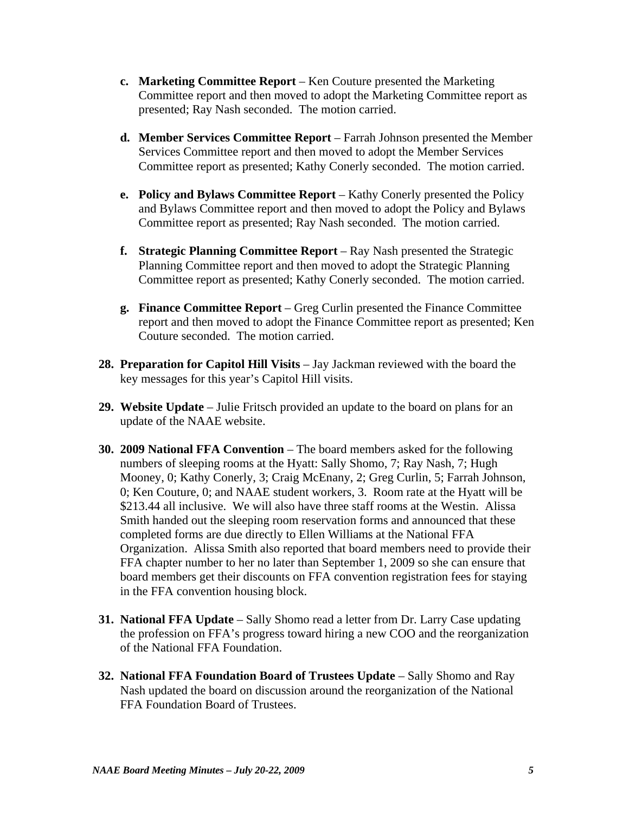- **c. Marketing Committee Report**  Ken Couture presented the Marketing Committee report and then moved to adopt the Marketing Committee report as presented; Ray Nash seconded. The motion carried.
- **d. Member Services Committee Report** Farrah Johnson presented the Member Services Committee report and then moved to adopt the Member Services Committee report as presented; Kathy Conerly seconded. The motion carried.
- **e. Policy and Bylaws Committee Report**  Kathy Conerly presented the Policy and Bylaws Committee report and then moved to adopt the Policy and Bylaws Committee report as presented; Ray Nash seconded. The motion carried.
- **f. Strategic Planning Committee Report** Ray Nash presented the Strategic Planning Committee report and then moved to adopt the Strategic Planning Committee report as presented; Kathy Conerly seconded. The motion carried.
- **g. Finance Committee Report**  Greg Curlin presented the Finance Committee report and then moved to adopt the Finance Committee report as presented; Ken Couture seconded. The motion carried.
- **28. Preparation for Capitol Hill Visits** Jay Jackman reviewed with the board the key messages for this year's Capitol Hill visits.
- **29. Website Update** Julie Fritsch provided an update to the board on plans for an update of the NAAE website.
- **30. 2009 National FFA Convention** The board members asked for the following numbers of sleeping rooms at the Hyatt: Sally Shomo, 7; Ray Nash, 7; Hugh Mooney, 0; Kathy Conerly, 3; Craig McEnany, 2; Greg Curlin, 5; Farrah Johnson, 0; Ken Couture, 0; and NAAE student workers, 3. Room rate at the Hyatt will be \$213.44 all inclusive. We will also have three staff rooms at the Westin. Alissa Smith handed out the sleeping room reservation forms and announced that these completed forms are due directly to Ellen Williams at the National FFA Organization. Alissa Smith also reported that board members need to provide their FFA chapter number to her no later than September 1, 2009 so she can ensure that board members get their discounts on FFA convention registration fees for staying in the FFA convention housing block.
- **31. National FFA Update** Sally Shomo read a letter from Dr. Larry Case updating the profession on FFA's progress toward hiring a new COO and the reorganization of the National FFA Foundation.
- **32. National FFA Foundation Board of Trustees Update** Sally Shomo and Ray Nash updated the board on discussion around the reorganization of the National FFA Foundation Board of Trustees.